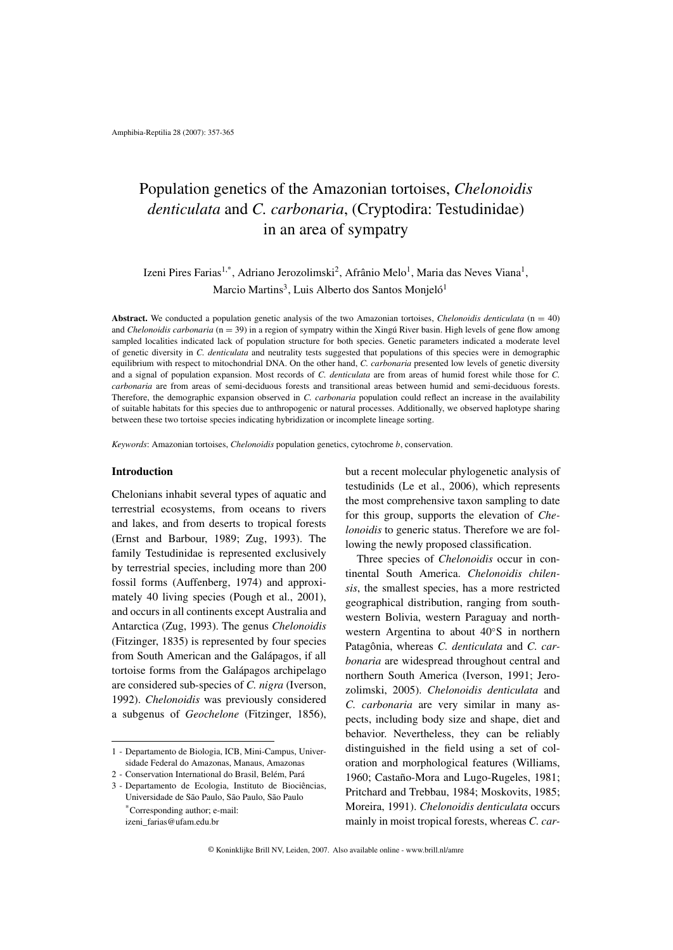# Population genetics of the Amazonian tortoises, *Chelonoidis denticulata* and *C. carbonaria*, (Cryptodira: Testudinidae) in an area of sympatry

Izeni Pires Farias<sup>1,\*</sup>, Adriano Jerozolimski<sup>2</sup>, Afrânio Melo<sup>1</sup>, Maria das Neves Viana<sup>1</sup>, Marcio Martins<sup>3</sup>, Luis Alberto dos Santos Monjeló<sup>1</sup>

**Abstract.** We conducted a population genetic analysis of the two Amazonian tortoises, *Chelonoidis denticulata* (n = 40) and *Chelonoidis carbonaria* (n = 39) in a region of sympatry within the Xingú River basin. High levels of gene flow among sampled localities indicated lack of population structure for both species. Genetic parameters indicated a moderate level of genetic diversity in *C. denticulata* and neutrality tests suggested that populations of this species were in demographic equilibrium with respect to mitochondrial DNA. On the other hand, *C. carbonaria* presented low levels of genetic diversity and a signal of population expansion. Most records of *C. denticulata* are from areas of humid forest while those for *C. carbonaria* are from areas of semi-deciduous forests and transitional areas between humid and semi-deciduous forests. Therefore, the demographic expansion observed in *C. carbonaria* population could reflect an increase in the availability of suitable habitats for this species due to anthropogenic or natural processes. Additionally, we observed haplotype sharing between these two tortoise species indicating hybridization or incomplete lineage sorting.

*Keywords*: Amazonian tortoises, *Chelonoidis* population genetics, cytochrome *b*, conservation.

# **Introduction**

Chelonians inhabit several types of aquatic and terrestrial ecosystems, from oceans to rivers and lakes, and from deserts to tropical forests (Ernst and Barbour, 1989; Zug, 1993). The family Testudinidae is represented exclusively by terrestrial species, including more than 200 fossil forms (Auffenberg, 1974) and approximately 40 living species (Pough et al., 2001), and occurs in all continents except Australia and Antarctica (Zug, 1993). The genus *Chelonoidis* (Fitzinger, 1835) is represented by four species from South American and the Galápagos, if all tortoise forms from the Galápagos archipelago are considered sub-species of *C. nigra* (Iverson, 1992). *Chelonoidis* was previously considered a subgenus of *Geochelone* (Fitzinger, 1856), but a recent molecular phylogenetic analysis of testudinids (Le et al., 2006), which represents the most comprehensive taxon sampling to date for this group, supports the elevation of *Chelonoidis* to generic status. Therefore we are following the newly proposed classification.

Three species of *Chelonoidis* occur in continental South America. *Chelonoidis chilensis*, the smallest species, has a more restricted geographical distribution, ranging from southwestern Bolivia, western Paraguay and northwestern Argentina to about 40◦S in northern Patagônia, whereas *C. denticulata* and *C. carbonaria* are widespread throughout central and northern South America (Iverson, 1991; Jerozolimski, 2005). *Chelonoidis denticulata* and *C. carbonaria* are very similar in many aspects, including body size and shape, diet and behavior. Nevertheless, they can be reliably distinguished in the field using a set of coloration and morphological features (Williams, 1960; Castaño-Mora and Lugo-Rugeles, 1981; Pritchard and Trebbau, 1984; Moskovits, 1985; Moreira, 1991). *Chelonoidis denticulata* occurs mainly in moist tropical forests, whereas *C. car-*

<sup>1 -</sup> Departamento de Biologia, ICB, Mini-Campus, Universidade Federal do Amazonas, Manaus, Amazonas

<sup>2 -</sup> Conservation International do Brasil, Belém, Pará

<sup>3 -</sup> Departamento de Ecologia, Instituto de Biociências, Universidade de São Paulo, São Paulo, São Paulo \*Corresponding author; e-mail: izeni\_farias@ufam.edu.br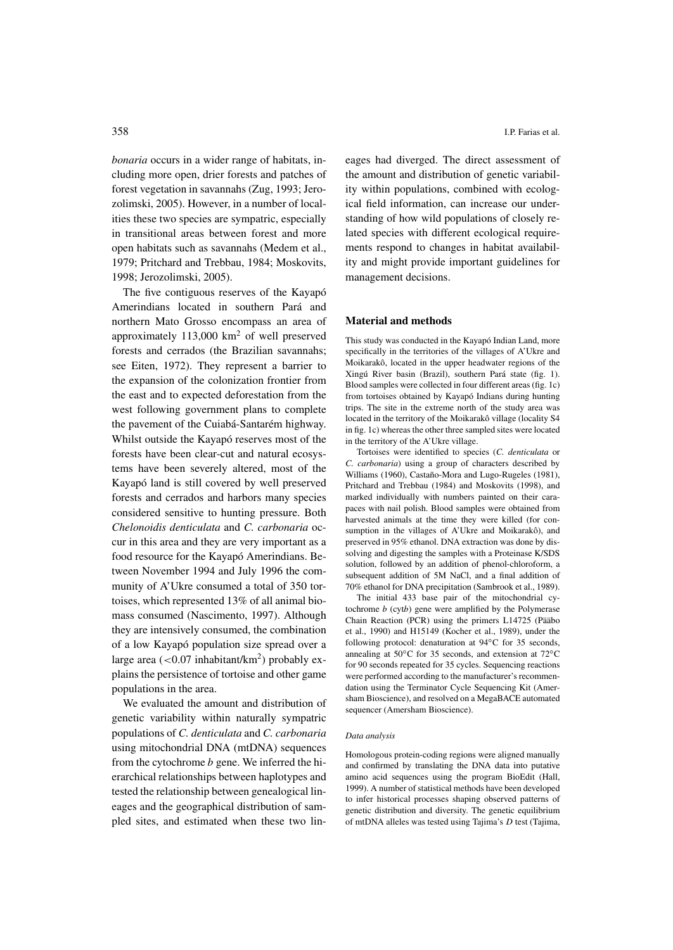*bonaria* occurs in a wider range of habitats, including more open, drier forests and patches of forest vegetation in savannahs (Zug, 1993; Jerozolimski, 2005). However, in a number of localities these two species are sympatric, especially in transitional areas between forest and more open habitats such as savannahs (Medem et al., 1979; Pritchard and Trebbau, 1984; Moskovits, 1998; Jerozolimski, 2005).

The five contiguous reserves of the Kayapó Amerindians located in southern Pará and northern Mato Grosso encompass an area of approximately  $113,000 \text{ km}^2$  of well preserved forests and cerrados (the Brazilian savannahs; see Eiten, 1972). They represent a barrier to the expansion of the colonization frontier from the east and to expected deforestation from the west following government plans to complete the pavement of the Cuiabá-Santarém highway. Whilst outside the Kayapó reserves most of the forests have been clear-cut and natural ecosystems have been severely altered, most of the Kayapó land is still covered by well preserved forests and cerrados and harbors many species considered sensitive to hunting pressure. Both *Chelonoidis denticulata* and *C. carbonaria* occur in this area and they are very important as a food resource for the Kayapó Amerindians. Between November 1994 and July 1996 the community of A'Ukre consumed a total of 350 tortoises, which represented 13% of all animal biomass consumed (Nascimento, 1997). Although they are intensively consumed, the combination of a low Kayapó population size spread over a large area (<0.07 inhabitant/km<sup>2</sup>) probably explains the persistence of tortoise and other game populations in the area.

We evaluated the amount and distribution of genetic variability within naturally sympatric populations of *C. denticulata* and *C. carbonaria* using mitochondrial DNA (mtDNA) sequences from the cytochrome *b* gene. We inferred the hierarchical relationships between haplotypes and tested the relationship between genealogical lineages and the geographical distribution of sampled sites, and estimated when these two lineages had diverged. The direct assessment of the amount and distribution of genetic variability within populations, combined with ecological field information, can increase our understanding of how wild populations of closely related species with different ecological requirements respond to changes in habitat availability and might provide important guidelines for management decisions.

#### **Material and methods**

This study was conducted in the Kayapó Indian Land, more specifically in the territories of the villages of A'Ukre and Moikarakô, located in the upper headwater regions of the Xingú River basin (Brazil), southern Pará state (fig. 1). Blood samples were collected in four different areas (fig. 1c) from tortoises obtained by Kayapó Indians during hunting trips. The site in the extreme north of the study area was located in the territory of the Moikarakô village (locality S4 in fig. 1c) whereas the other three sampled sites were located in the territory of the A'Ukre village.

Tortoises were identified to species (*C. denticulata* or *C. carbonaria*) using a group of characters described by Williams (1960), Castaño-Mora and Lugo-Rugeles (1981), Pritchard and Trebbau (1984) and Moskovits (1998), and marked individually with numbers painted on their carapaces with nail polish. Blood samples were obtained from harvested animals at the time they were killed (for consumption in the villages of A'Ukre and Moikarakô), and preserved in 95% ethanol. DNA extraction was done by dissolving and digesting the samples with a Proteinase K/SDS solution, followed by an addition of phenol-chloroform, a subsequent addition of 5M NaCl, and a final addition of 70% ethanol for DNA precipitation (Sambrook et al., 1989).

The initial 433 base pair of the mitochondrial cytochrome *b* (cyt*b*) gene were amplified by the Polymerase Chain Reaction (PCR) using the primers L14725 (Pääbo et al., 1990) and H15149 (Kocher et al., 1989), under the following protocol: denaturation at 94◦C for 35 seconds, annealing at 50◦C for 35 seconds, and extension at 72◦C for 90 seconds repeated for 35 cycles. Sequencing reactions were performed according to the manufacturer's recommendation using the Terminator Cycle Sequencing Kit (Amersham Bioscience), and resolved on a MegaBACE automated sequencer (Amersham Bioscience).

#### *Data analysis*

Homologous protein-coding regions were aligned manually and confirmed by translating the DNA data into putative amino acid sequences using the program BioEdit (Hall, 1999). A number of statistical methods have been developed to infer historical processes shaping observed patterns of genetic distribution and diversity. The genetic equilibrium of mtDNA alleles was tested using Tajima's *D* test (Tajima,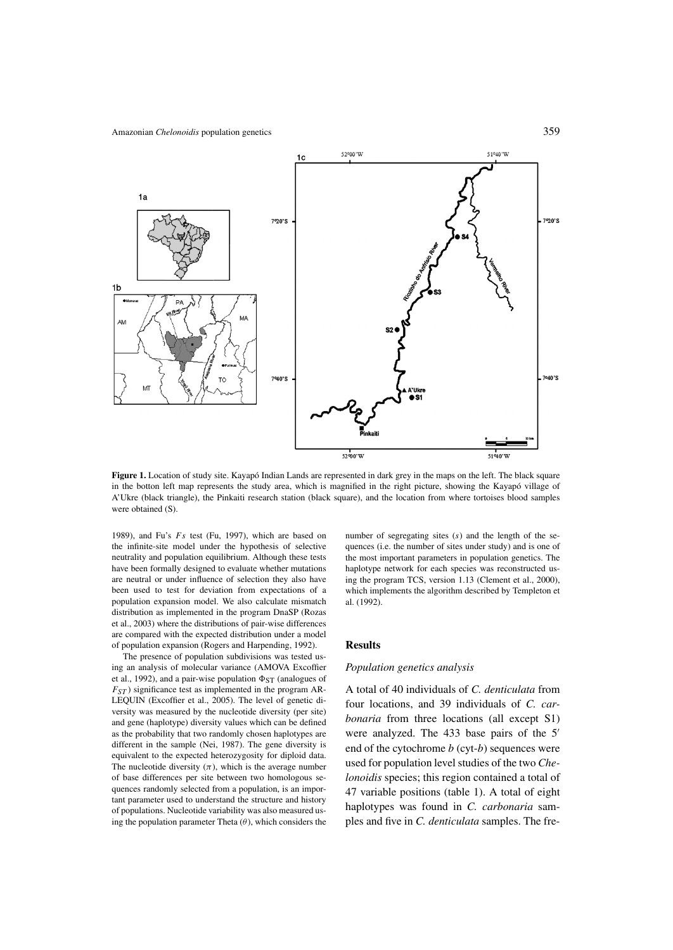

**Figure 1.** Location of study site. Kayapó Indian Lands are represented in dark grey in the maps on the left. The black square in the botton left map represents the study area, which is magnified in the right picture, showing the Kayapó village of A'Ukre (black triangle), the Pinkaiti research station (black square), and the location from where tortoises blood samples were obtained (S).

1989), and Fu's *Fs* test (Fu, 1997), which are based on the infinite-site model under the hypothesis of selective neutrality and population equilibrium. Although these tests have been formally designed to evaluate whether mutations are neutral or under influence of selection they also have been used to test for deviation from expectations of a population expansion model. We also calculate mismatch distribution as implemented in the program DnaSP (Rozas et al., 2003) where the distributions of pair-wise differences are compared with the expected distribution under a model of population expansion (Rogers and Harpending, 1992).

The presence of population subdivisions was tested using an analysis of molecular variance (AMOVA Excoffier et al., 1992), and a pair-wise population  $\Phi_{ST}$  (analogues of  $F_{ST}$ ) significance test as implemented in the program AR-LEQUIN (Excoffier et al., 2005). The level of genetic diversity was measured by the nucleotide diversity (per site) and gene (haplotype) diversity values which can be defined as the probability that two randomly chosen haplotypes are different in the sample (Nei, 1987). The gene diversity is equivalent to the expected heterozygosity for diploid data. The nucleotide diversity  $(\pi)$ , which is the average number of base differences per site between two homologous sequences randomly selected from a population, is an important parameter used to understand the structure and history of populations. Nucleotide variability was also measured using the population parameter Theta (*θ*), which considers the number of segregating sites (*s*) and the length of the sequences (i.e. the number of sites under study) and is one of the most important parameters in population genetics. The haplotype network for each species was reconstructed using the program TCS, version 1.13 (Clement et al., 2000), which implements the algorithm described by Templeton et al. (1992).

### **Results**

#### *Population genetics analysis*

A total of 40 individuals of *C. denticulata* from four locations, and 39 individuals of *C. carbonaria* from three locations (all except S1) were analyzed. The 433 base pairs of the 5' end of the cytochrome *b* (cyt-*b*) sequences were used for population level studies of the two *Chelonoidis* species; this region contained a total of 47 variable positions (table 1). A total of eight haplotypes was found in *C. carbonaria* samples and five in *C. denticulata* samples. The fre-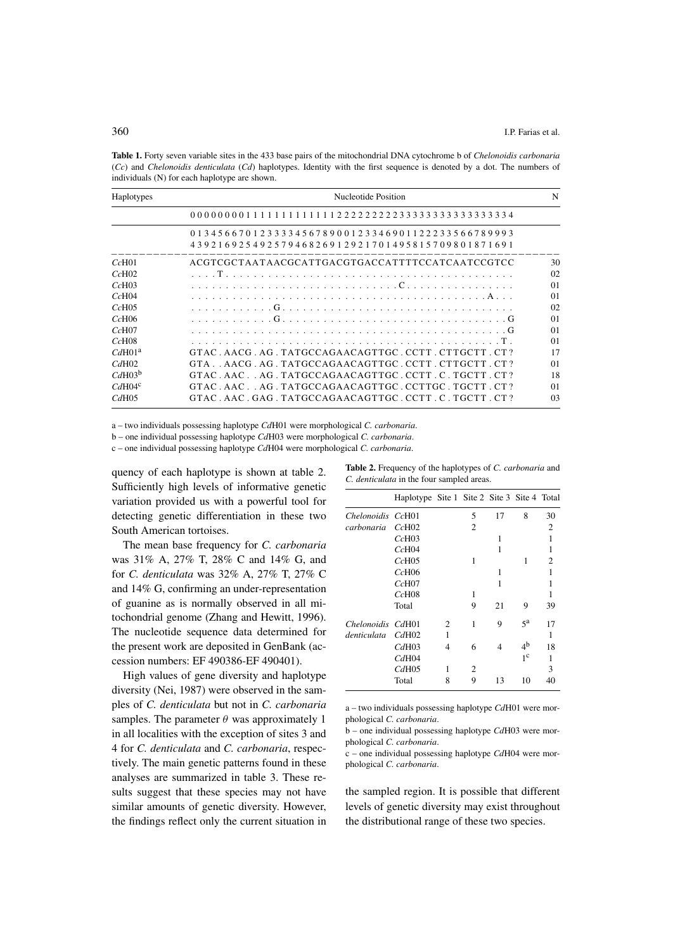**Table 1.** Forty seven variable sites in the 433 base pairs of the mitochondrial DNA cytochrome b of *Chelonoidis carbonaria* (*Cc*) and *Chelonoidis denticulata* (*Cd*) haplotypes. Identity with the first sequence is denoted by a dot. The numbers of individuals (N) for each haplotype are shown.

| Haplotypes         | Nucleotide Position                                                                                                                            |                |  |  |
|--------------------|------------------------------------------------------------------------------------------------------------------------------------------------|----------------|--|--|
|                    |                                                                                                                                                |                |  |  |
|                    | 0 1 3 4 5 6 6 7 0 1 2 3 3 3 4 5 6 7 8 9 0 0 1 2 3 3 4 6 9 0 1 1 2 2 2 3 3 5 6 6 7 8 9 9 9 3<br>43921692549257946826912921701495815709801871691 |                |  |  |
| $Cc$ H $01$        | ACGTCGCTAATAACGCATTGACGTGACCATTTTCCATCAATCCGTCC                                                                                                | 30             |  |  |
| CcH02              |                                                                                                                                                | 02             |  |  |
| $Cc$ H $03$        |                                                                                                                                                | $\Omega$       |  |  |
| $Cc$ H $04$        |                                                                                                                                                | $\Omega$       |  |  |
| CcH05              |                                                                                                                                                | 02             |  |  |
| $Cc$ H $06$        |                                                                                                                                                | $\Omega$       |  |  |
| $Cc$ H $07$        |                                                                                                                                                | $\Omega$       |  |  |
| $Cc$ H $08$        |                                                                                                                                                | $\Omega$       |  |  |
| CdH01 <sup>a</sup> | GTAC AACG AG TATGCCAGAACAGTTGC CCTT CTTGCTT CT?                                                                                                | 17             |  |  |
| CdH02              | GTA  AACGAGTATGCCAGAACAGTTGCCCTTCTTGCTTCT?                                                                                                     | 0 <sub>1</sub> |  |  |
| $CdH03^b$          | GTAC.AAC.AG.TATGCCAGAACAGTTGC.CCTT.C.TGCTT.CT?                                                                                                 | 18             |  |  |
| CdH04 <sup>c</sup> | GTAC.AACAG.TATGCCAGAACAGTTGC.CCTTGC.TGCTT.CT?                                                                                                  | 0 <sub>1</sub> |  |  |
| CdH05              | GTAC. AAC. GAG. TATGCCAGAACAGTTGC. CCTT. C. TGCTT. CT?                                                                                         | 0 <sub>3</sub> |  |  |

a – two individuals possessing haplotype *Cd*H01 were morphological *C. carbonaria*.

b – one individual possessing haplotype *Cd*H03 were morphological *C. carbonaria*.

c – one individual possessing haplotype *Cd*H04 were morphological *C. carbonaria*.

quency of each haplotype is shown at table 2. Sufficiently high levels of informative genetic variation provided us with a powerful tool for detecting genetic differentiation in these two South American tortoises.

The mean base frequency for *C. carbonaria* was 31% A, 27% T, 28% C and 14% G, and for *C. denticulata* was 32% A, 27% T, 27% C and 14% G, confirming an under-representation of guanine as is normally observed in all mitochondrial genome (Zhang and Hewitt, 1996). The nucleotide sequence data determined for the present work are deposited in GenBank (accession numbers: EF 490386-EF 490401).

High values of gene diversity and haplotype diversity (Nei, 1987) were observed in the samples of *C. denticulata* but not in *C. carbonaria* samples. The parameter  $\theta$  was approximately 1 in all localities with the exception of sites 3 and 4 for *C. denticulata* and *C. carbonaria*, respectively. The main genetic patterns found in these analyses are summarized in table 3. These results suggest that these species may not have similar amounts of genetic diversity. However, the findings reflect only the current situation in

| <b>Table 2.</b> Frequency of the haplotypes of <i>C. carbonaria</i> and |  |
|-------------------------------------------------------------------------|--|
| <i>C. denticulata</i> in the four sampled areas.                        |  |

|                   | Haplotype Site 1 Site 2 Site 3 Site 4 Total |                |                |                |                |    |
|-------------------|---------------------------------------------|----------------|----------------|----------------|----------------|----|
| Chelonoidis CcH01 |                                             |                | 5              | 17             | 8              | 30 |
| carbonaria        | $Cc$ H $02$                                 |                | $\overline{c}$ |                |                | 2  |
|                   | CcH03                                       |                |                | 1              |                | 1  |
|                   | $Cc$ H $04$                                 |                |                | 1              |                | 1  |
|                   | CcH05                                       |                | 1              |                | 1              | 2  |
|                   | CcH06                                       |                |                | 1              |                | 1  |
|                   | CcH07                                       |                |                | 1              |                | 1  |
|                   | CcH08                                       |                | 1              |                |                | 1  |
|                   | Total                                       |                | 9              | 21             | 9              | 39 |
| Chelonoidis CdH01 |                                             | 2              | 1              | 9              | 5 <sup>a</sup> | 17 |
| denticulata       | CdH02                                       | 1              |                |                |                | 1  |
|                   | CdH03                                       | $\overline{4}$ | 6              | $\overline{4}$ | 4 <sup>b</sup> | 18 |
|                   | CdH04                                       |                |                |                | 1 <sup>c</sup> | 1  |
|                   | CdH05                                       | 1              | 2              |                |                | 3  |
|                   | Total                                       | 8              | 9              | 13             | 10             | 40 |

a – two individuals possessing haplotype *Cd*H01 were morphological *C. carbonaria*.

b – one individual possessing haplotype *Cd*H03 were morphological *C. carbonaria*.

c – one individual possessing haplotype *Cd*H04 were morphological *C. carbonaria*.

the sampled region. It is possible that different levels of genetic diversity may exist throughout the distributional range of these two species.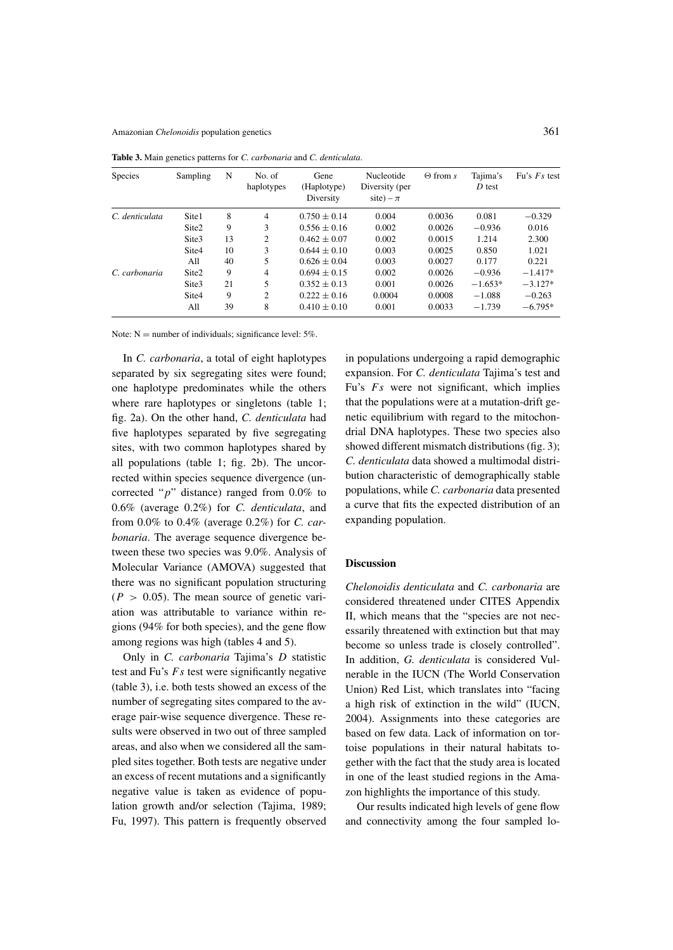| <b>Species</b> | Sampling          | N  | No. of<br>haplotypes | Gene<br>(Haplotype)<br>Diversity | Nucleotide<br>Diversity (per<br>site) – $\pi$ | $\Theta$ from s | Tajima's<br>D test | Fu's $Fs$ test |
|----------------|-------------------|----|----------------------|----------------------------------|-----------------------------------------------|-----------------|--------------------|----------------|
| C. denticulata | Site <sub>1</sub> | 8  | 4                    | $0.750 \pm 0.14$                 | 0.004                                         | 0.0036          | 0.081              | $-0.329$       |
|                | Site <sub>2</sub> | 9  | 3                    | $0.556 \pm 0.16$                 | 0.002                                         | 0.0026          | $-0.936$           | 0.016          |
|                | Site <sub>3</sub> | 13 | 2                    | $0.462 \pm 0.07$                 | 0.002                                         | 0.0015          | 1.214              | 2.300          |
|                | Site4             | 10 | 3                    | $0.644 \pm 0.10$                 | 0.003                                         | 0.0025          | 0.850              | 1.021          |
|                | All               | 40 | 5                    | $0.626 \pm 0.04$                 | 0.003                                         | 0.0027          | 0.177              | 0.221          |
| C. carbonaria  | Site <sub>2</sub> | 9  | 4                    | $0.694 \pm 0.15$                 | 0.002                                         | 0.0026          | $-0.936$           | $-1.417*$      |
|                | Site3             | 21 | 5                    | $0.352 \pm 0.13$                 | 0.001                                         | 0.0026          | $-1.653*$          | $-3.127*$      |
|                | Site4             | 9  | 2                    | $0.222 \pm 0.16$                 | 0.0004                                        | 0.0008          | $-1.088$           | $-0.263$       |
|                | All               | 39 | 8                    | $0.410 \pm 0.10$                 | 0.001                                         | 0.0033          | $-1.739$           | $-6.795*$      |

**Table 3.** Main genetics patterns for *C. carbonaria* and *C. denticulata*.

Note:  $N =$  number of individuals; significance level: 5%.

In *C. carbonaria*, a total of eight haplotypes separated by six segregating sites were found; one haplotype predominates while the others where rare haplotypes or singletons (table 1; fig. 2a). On the other hand, *C. denticulata* had five haplotypes separated by five segregating sites, with two common haplotypes shared by all populations (table 1; fig. 2b). The uncorrected within species sequence divergence (uncorrected "*p*" distance) ranged from 0.0% to 0.6% (average 0.2%) for *C. denticulata*, and from 0.0% to 0.4% (average 0.2%) for *C. carbonaria*. The average sequence divergence between these two species was 9.0%. Analysis of Molecular Variance (AMOVA) suggested that there was no significant population structuring  $(P > 0.05)$ . The mean source of genetic variation was attributable to variance within regions (94% for both species), and the gene flow among regions was high (tables 4 and 5).

Only in *C. carbonaria* Tajima's *D* statistic test and Fu's *Fs* test were significantly negative (table 3), i.e. both tests showed an excess of the number of segregating sites compared to the average pair-wise sequence divergence. These results were observed in two out of three sampled areas, and also when we considered all the sampled sites together. Both tests are negative under an excess of recent mutations and a significantly negative value is taken as evidence of population growth and/or selection (Tajima, 1989; Fu, 1997). This pattern is frequently observed

in populations undergoing a rapid demographic expansion. For *C. denticulata* Tajima's test and Fu's *Fs* were not significant, which implies that the populations were at a mutation-drift genetic equilibrium with regard to the mitochondrial DNA haplotypes. These two species also showed different mismatch distributions (fig. 3); *C. denticulata* data showed a multimodal distribution characteristic of demographically stable populations, while *C. carbonaria* data presented a curve that fits the expected distribution of an expanding population.

# **Discussion**

*Chelonoidis denticulata* and *C. carbonaria* are considered threatened under CITES Appendix II, which means that the "species are not necessarily threatened with extinction but that may become so unless trade is closely controlled". In addition, *G. denticulata* is considered Vulnerable in the IUCN (The World Conservation Union) Red List, which translates into "facing a high risk of extinction in the wild" (IUCN, 2004). Assignments into these categories are based on few data. Lack of information on tortoise populations in their natural habitats together with the fact that the study area is located in one of the least studied regions in the Amazon highlights the importance of this study.

Our results indicated high levels of gene flow and connectivity among the four sampled lo-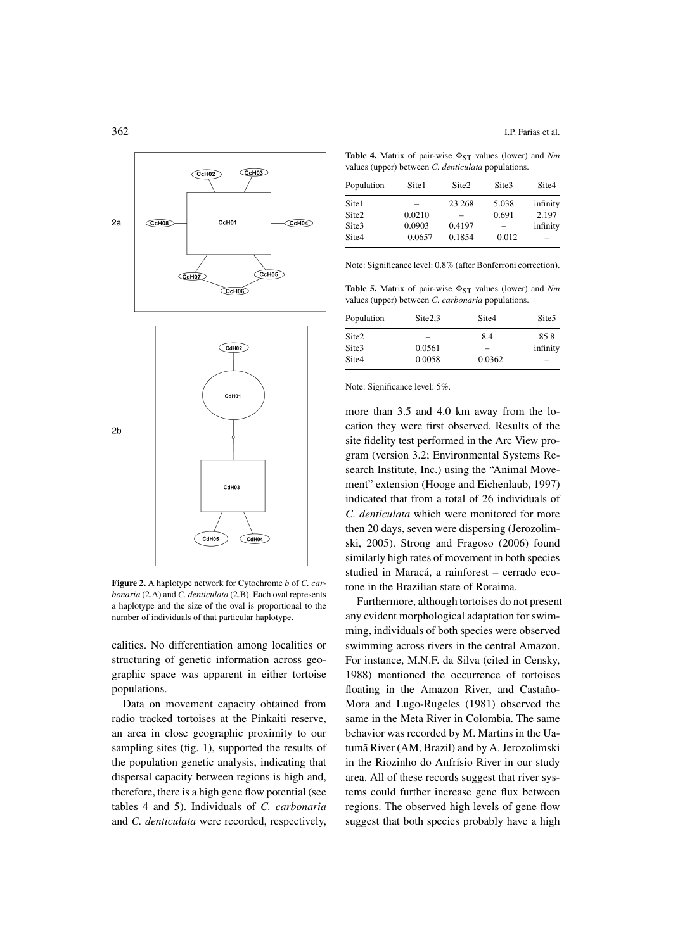

**Figure 2.** A haplotype network for Cytochrome *b* of *C. carbonaria* (2.A) and *C. denticulata* (2.B). Each oval represents a haplotype and the size of the oval is proportional to the number of individuals of that particular haplotype.

calities. No differentiation among localities or structuring of genetic information across geographic space was apparent in either tortoise populations.

Data on movement capacity obtained from radio tracked tortoises at the Pinkaiti reserve, an area in close geographic proximity to our sampling sites (fig. 1), supported the results of the population genetic analysis, indicating that dispersal capacity between regions is high and, therefore, there is a high gene flow potential (see tables 4 and 5). Individuals of *C. carbonaria* and *C. denticulata* were recorded, respectively,

**Table 4.** Matrix of pair-wise  $\Phi_{ST}$  values (lower) and *Nm* values (upper) between *C. denticulata* populations.

| Population        | Site1     | Site <sub>2</sub> | Site <sub>3</sub> | Site4    |
|-------------------|-----------|-------------------|-------------------|----------|
| Site <sub>1</sub> |           | 23.268            | 5.038             | infinity |
| Site <sub>2</sub> | 0.0210    |                   | 0.691             | 2.197    |
| Site <sub>3</sub> | 0.0903    | 0.4197            |                   | infinity |
| Site4             | $-0.0657$ | 0.1854            | $-0.012$          |          |

Note: Significance level: 0.8% (after Bonferroni correction).

**Table 5.** Matrix of pair-wise  $\Phi_{ST}$  values (lower) and *Nm* values (upper) between *C. carbonaria* populations.

| Population        | Site2,3 | Site <sub>4</sub> | Site <sub>5</sub> |
|-------------------|---------|-------------------|-------------------|
| Site <sub>2</sub> |         | 8.4               | 85.8              |
| Site3             | 0.0561  | $\equiv$          | infinity          |
| Site4             | 0.0058  | $-0.0362$         | -                 |

Note: Significance level: 5%.

more than 3.5 and 4.0 km away from the location they were first observed. Results of the site fidelity test performed in the Arc View program (version 3.2; Environmental Systems Research Institute, Inc.) using the "Animal Movement" extension (Hooge and Eichenlaub, 1997) indicated that from a total of 26 individuals of *C. denticulata* which were monitored for more then 20 days, seven were dispersing (Jerozolimski, 2005). Strong and Fragoso (2006) found similarly high rates of movement in both species studied in Maracá, a rainforest – cerrado ecotone in the Brazilian state of Roraima.

Furthermore, although tortoises do not present any evident morphological adaptation for swimming, individuals of both species were observed swimming across rivers in the central Amazon. For instance, M.N.F. da Silva (cited in Censky, 1988) mentioned the occurrence of tortoises floating in the Amazon River, and Castaño-Mora and Lugo-Rugeles (1981) observed the same in the Meta River in Colombia. The same behavior was recorded by M. Martins in the Uatumã River (AM, Brazil) and by A. Jerozolimski in the Riozinho do Anfrísio River in our study area. All of these records suggest that river systems could further increase gene flux between regions. The observed high levels of gene flow suggest that both species probably have a high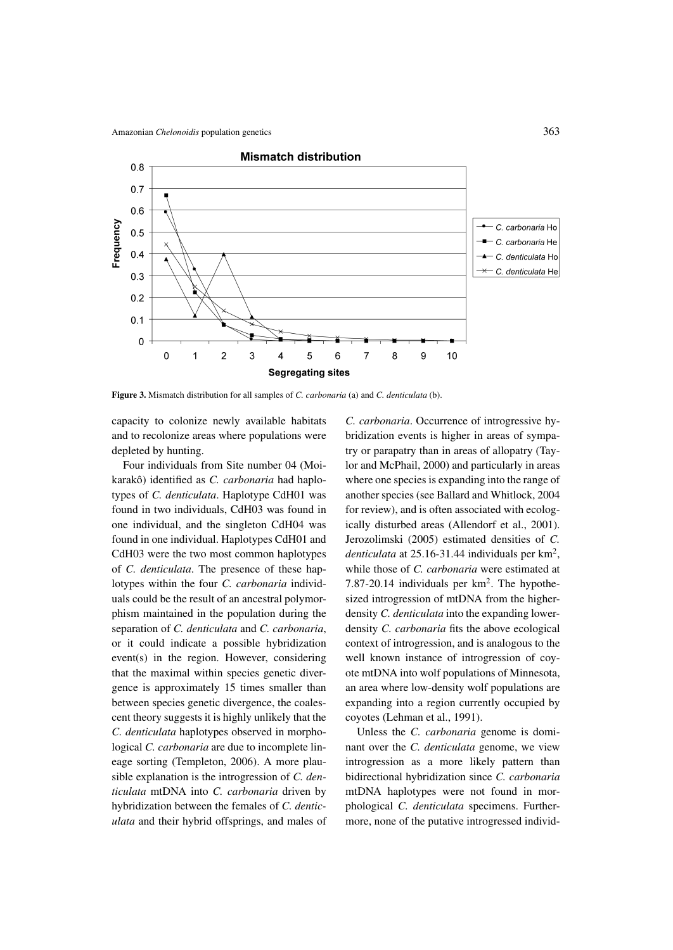

**Figure 3.** Mismatch distribution for all samples of *C. carbonaria* (a) and *C. denticulata* (b).

capacity to colonize newly available habitats and to recolonize areas where populations were depleted by hunting.

Four individuals from Site number 04 (Moikarakô) identified as *C. carbonaria* had haplotypes of *C. denticulata*. Haplotype CdH01 was found in two individuals, CdH03 was found in one individual, and the singleton CdH04 was found in one individual. Haplotypes CdH01 and CdH03 were the two most common haplotypes of *C. denticulata*. The presence of these haplotypes within the four *C. carbonaria* individuals could be the result of an ancestral polymorphism maintained in the population during the separation of *C. denticulata* and *C. carbonaria*, or it could indicate a possible hybridization event(s) in the region. However, considering that the maximal within species genetic divergence is approximately 15 times smaller than between species genetic divergence, the coalescent theory suggests it is highly unlikely that the *C. denticulata* haplotypes observed in morphological *C. carbonaria* are due to incomplete lineage sorting (Templeton, 2006). A more plausible explanation is the introgression of *C. denticulata* mtDNA into *C. carbonaria* driven by hybridization between the females of *C. denticulata* and their hybrid offsprings, and males of *C. carbonaria*. Occurrence of introgressive hybridization events is higher in areas of sympatry or parapatry than in areas of allopatry (Taylor and McPhail, 2000) and particularly in areas where one species is expanding into the range of another species (see Ballard and Whitlock, 2004 for review), and is often associated with ecologically disturbed areas (Allendorf et al., 2001). Jerozolimski (2005) estimated densities of *C. denticulata* at 25.16-31.44 individuals per km2, while those of *C. carbonaria* were estimated at 7.87-20.14 individuals per km<sup>2</sup>. The hypothesized introgression of mtDNA from the higherdensity *C. denticulata* into the expanding lowerdensity *C. carbonaria* fits the above ecological context of introgression, and is analogous to the well known instance of introgression of coyote mtDNA into wolf populations of Minnesota, an area where low-density wolf populations are expanding into a region currently occupied by coyotes (Lehman et al., 1991).

Unless the *C. carbonaria* genome is dominant over the *C. denticulata* genome, we view introgression as a more likely pattern than bidirectional hybridization since *C. carbonaria* mtDNA haplotypes were not found in morphological *C. denticulata* specimens. Furthermore, none of the putative introgressed individ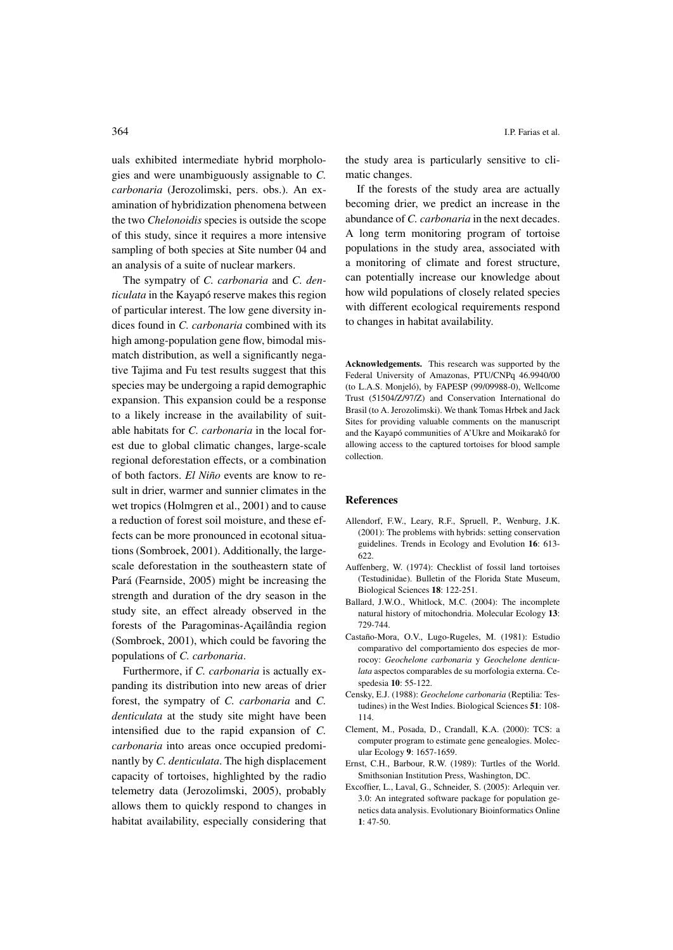uals exhibited intermediate hybrid morphologies and were unambiguously assignable to *C. carbonaria* (Jerozolimski, pers. obs.). An examination of hybridization phenomena between the two *Chelonoidis* species is outside the scope of this study, since it requires a more intensive sampling of both species at Site number 04 and an analysis of a suite of nuclear markers.

The sympatry of *C. carbonaria* and *C. denticulata* in the Kayapó reserve makes this region of particular interest. The low gene diversity indices found in *C. carbonaria* combined with its high among-population gene flow, bimodal mismatch distribution, as well a significantly negative Tajima and Fu test results suggest that this species may be undergoing a rapid demographic expansion. This expansion could be a response to a likely increase in the availability of suitable habitats for *C. carbonaria* in the local forest due to global climatic changes, large-scale regional deforestation effects, or a combination of both factors. *El Niño* events are know to result in drier, warmer and sunnier climates in the wet tropics (Holmgren et al., 2001) and to cause a reduction of forest soil moisture, and these effects can be more pronounced in ecotonal situations (Sombroek, 2001). Additionally, the largescale deforestation in the southeastern state of Pará (Fearnside, 2005) might be increasing the strength and duration of the dry season in the study site, an effect already observed in the forests of the Paragominas-Açailândia region (Sombroek, 2001), which could be favoring the populations of *C. carbonaria*.

Furthermore, if *C. carbonaria* is actually expanding its distribution into new areas of drier forest, the sympatry of *C. carbonaria* and *C. denticulata* at the study site might have been intensified due to the rapid expansion of *C. carbonaria* into areas once occupied predominantly by *C. denticulata*. The high displacement capacity of tortoises, highlighted by the radio telemetry data (Jerozolimski, 2005), probably allows them to quickly respond to changes in habitat availability, especially considering that the study area is particularly sensitive to climatic changes.

If the forests of the study area are actually becoming drier, we predict an increase in the abundance of *C. carbonaria* in the next decades. A long term monitoring program of tortoise populations in the study area, associated with a monitoring of climate and forest structure, can potentially increase our knowledge about how wild populations of closely related species with different ecological requirements respond to changes in habitat availability.

**Acknowledgements.** This research was supported by the Federal University of Amazonas, PTU/CNPq 46.9940/00 (to L.A.S. Monjeló), by FAPESP (99/09988-0), Wellcome Trust (51504/Z/97/Z) and Conservation International do Brasil (to A. Jerozolimski). We thank Tomas Hrbek and Jack Sites for providing valuable comments on the manuscript and the Kayapó communities of A'Ukre and Moikarakô for allowing access to the captured tortoises for blood sample collection.

### **References**

- Allendorf, F.W., Leary, R.F., Spruell, P., Wenburg, J.K. (2001): The problems with hybrids: setting conservation guidelines. Trends in Ecology and Evolution **16**: 613- 622.
- Auffenberg, W. (1974): Checklist of fossil land tortoises (Testudinidae). Bulletin of the Florida State Museum, Biological Sciences **18**: 122-251.
- Ballard, J.W.O., Whitlock, M.C. (2004): The incomplete natural history of mitochondria. Molecular Ecology **13**: 729-744.
- Castaño-Mora, O.V., Lugo-Rugeles, M. (1981): Estudio comparativo del comportamiento dos especies de morrocoy: *Geochelone carbonaria* y *Geochelone denticulata* aspectos comparables de su morfologia externa. Cespedesia **10**: 55-122.
- Censky, E.J. (1988): *Geochelone carbonaria* (Reptilia: Testudines) in the West Indies. Biological Sciences **51**: 108- 114.
- Clement, M., Posada, D., Crandall, K.A. (2000): TCS: a computer program to estimate gene genealogies. Molecular Ecology **9**: 1657-1659.
- Ernst, C.H., Barbour, R.W. (1989): Turtles of the World. Smithsonian Institution Press, Washington, DC.
- Excoffier, L., Laval, G., Schneider, S. (2005): Arlequin ver. 3.0: An integrated software package for population genetics data analysis. Evolutionary Bioinformatics Online **1**: 47-50.